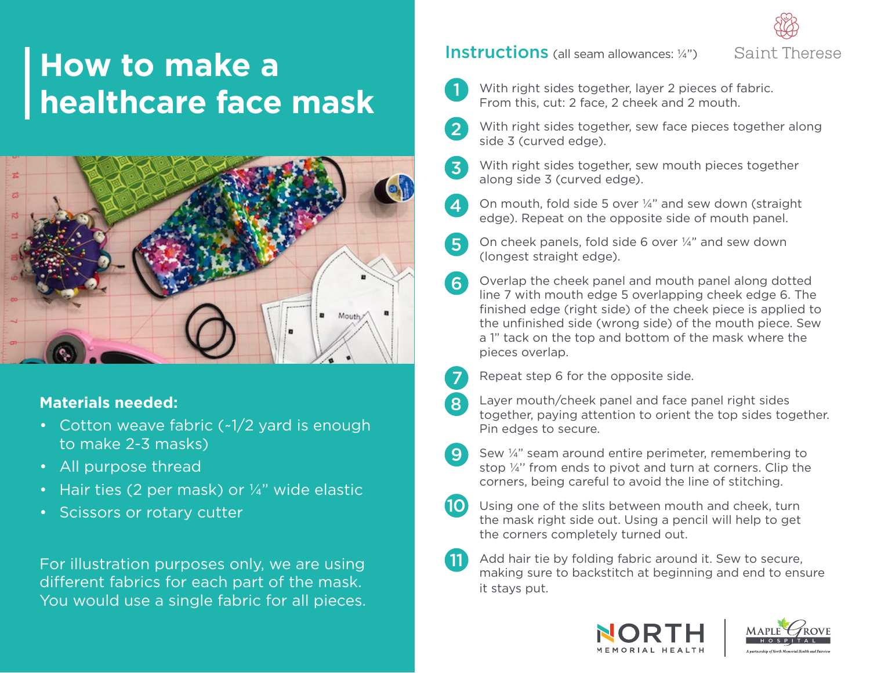# **How to make a healthcare face mask**



#### **Materials needed:**

- Cotton weave fabric (~1/2 yard is enough to make 2-3 masks)
- All purpose thread
- Hair ties (2 per mask) or  $\frac{1}{4}$ " wide elastic
- Scissors or rotary cutter

For illustration purposes only, we are using different fabrics for each part of the mask. You would use a single fabric for all pieces.

#### Instructions (all seam allowances: 1/4")





 $\mathbf{2}$ 

 $\overline{3}$ 

With right sides together, layer 2 pieces of fabric. From this, cut: 2 face, 2 cheek and 2 mouth.

- With right sides together, sew face pieces together along side 3 (curved edge).
- With right sides together, sew mouth pieces together along side 3 (curved edge).
- On mouth, fold side 5 over ¼" and sew down (straight edge). Repeat on the opposite side of mouth panel. 4
- On cheek panels, fold side 6 over ¼" and sew down (longest straight edge). 5
- Overlap the cheek panel and mouth panel along dotted line 7 with mouth edge 5 overlapping cheek edge 6. The finished edge (right side) of the cheek piece is applied to the unfinished side (wrong side) of the mouth piece. Sew a 1" tack on the top and bottom of the mask where the pieces overlap. 6
	- Repeat step 6 for the opposite side.
	- Layer mouth/cheek panel and face panel right sides together, paying attention to orient the top sides together. Pin edges to secure.
- Sew ¼" seam around entire perimeter, remembering to stop ¼'' from ends to pivot and turn at corners. Clip the corners, being careful to avoid the line of stitching. 9
	- Using one of the slits between mouth and cheek, turn the mask right side out. Using a pencil will help to get the corners completely turned out.
- 11

10

7

8

Add hair tie by folding fabric around it. Sew to secure, making sure to backstitch at beginning and end to ensure it stays put.



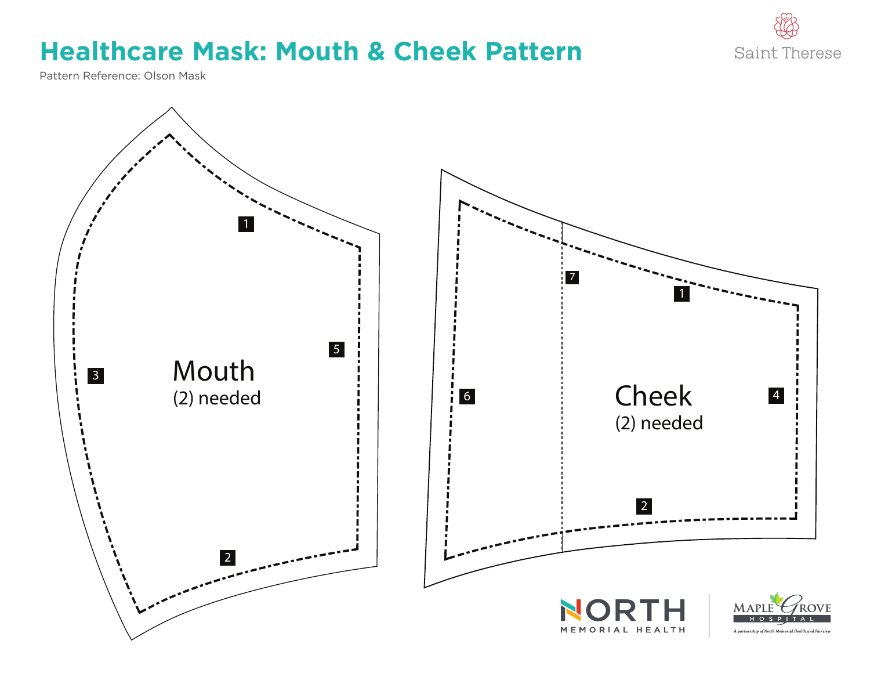

## **Healthcare Mask: Mouth & Cheek Pattern**

Pattern Reference: Olson Mask